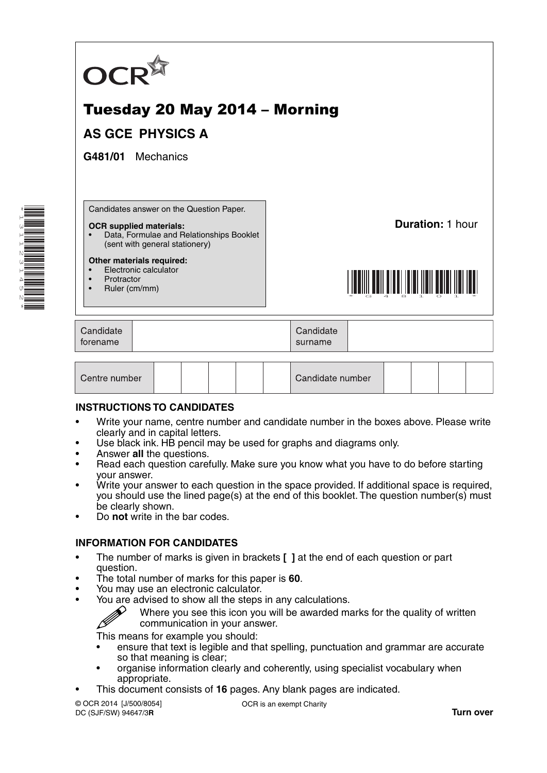

| Centre number |  |  |  |  |  | Candidate number |  |  |  |  |
|---------------|--|--|--|--|--|------------------|--|--|--|--|
|---------------|--|--|--|--|--|------------------|--|--|--|--|

#### **INSTRUCTIONS TO CANDIDATES**

- Write your name, centre number and candidate number in the boxes above. Please write clearly and in capital letters.
- Use black ink. HB pencil may be used for graphs and diagrams only.
- Answer **all** the questions.

\*1311231452\*

**The Contract of the Contract of the Contract of the Contract of the Contract of the Contract of The Contract o** 

- Read each question carefully. Make sure you know what you have to do before starting your answer.
- Write your answer to each question in the space provided. If additional space is required, you should use the lined page(s) at the end of this booklet. The question number(s) must be clearly shown.
- Do **not** write in the bar codes.

## **INFORMATION FOR CANDIDATES**

- The number of marks is given in brackets **[ ]** at the end of each question or part question.
- The total number of marks for this paper is **60**.
- You may use an electronic calculator.
- You are advised to show all the steps in any calculations.
	- Where you see this icon you will be awarded marks for the quality of written communication in your answer.

This means for example you should:

- ensure that text is legible and that spelling, punctuation and grammar are accurate so that meaning is clear;
- organise information clearly and coherently, using specialist vocabulary when appropriate.
- This document consists of **16** pages. Any blank pages are indicated.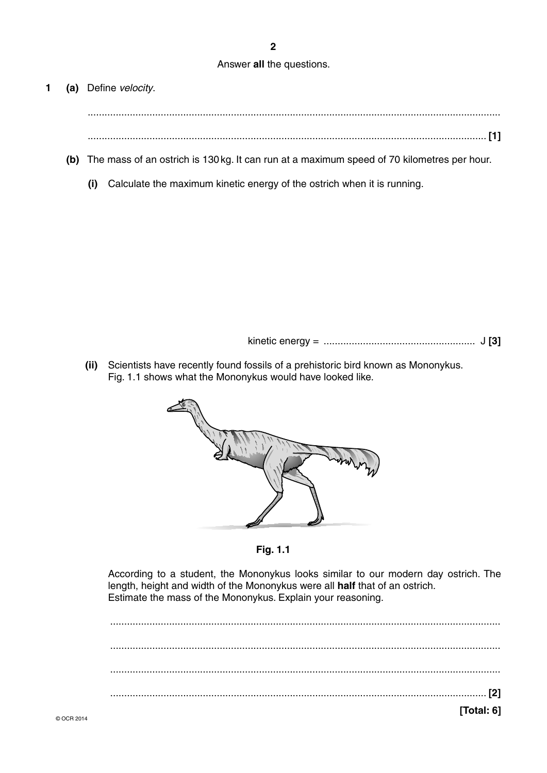Answer **all** the questions.

- **1 (a)** Define *velocity*. ................................................................................................................................................... .............................................................................................................................................. **[1]**
	- **(b)** The mass of an ostrich is 130 kg. It can run at a maximum speed of 70 kilometres per hour.
		- **(i)** Calculate the maximum kinetic energy of the ostrich when it is running.

kinetic energy = ...................................................... J **[3]**

 **(ii)** Scientists have recently found fossils of a prehistoric bird known as Mononykus. Fig. 1.1 shows what the Mononykus would have looked like.





According to a student, the Mononykus looks similar to our modern day ostrich. The length, height and width of the Mononykus were all **half** that of an ostrich. Estimate the mass of the Mononykus. Explain your reasoning.

 ........................................................................................................................................... ........................................................................................................................................... ........................................................................................................................................... ...................................................................................................................................... **[2]**

**[Total: 6]**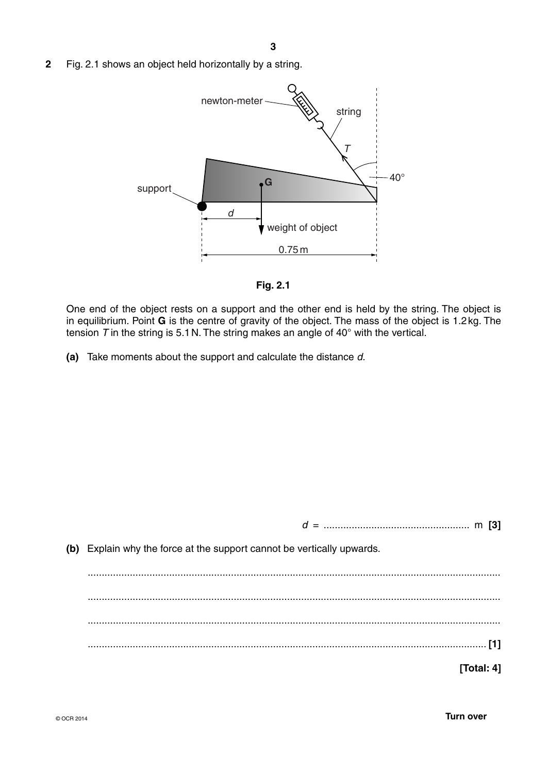**2** Fig. 2.1 shows an object held horizontally by a string.





One end of the object rests on a support and the other end is held by the string. The object is in equilibrium. Point **G** is the centre of gravity of the object. The mass of the object is 1.2 kg. The tension *T* in the string is 5.1 N. The string makes an angle of 40° with the vertical.

 **(a)** Take moments about the support and calculate the distance *d.* 

|               | (b) Explain why the force at the support cannot be vertically upwards. |  |
|---------------|------------------------------------------------------------------------|--|
|               |                                                                        |  |
|               |                                                                        |  |
|               |                                                                        |  |
|               |                                                                        |  |
| [Total: $4$ ] |                                                                        |  |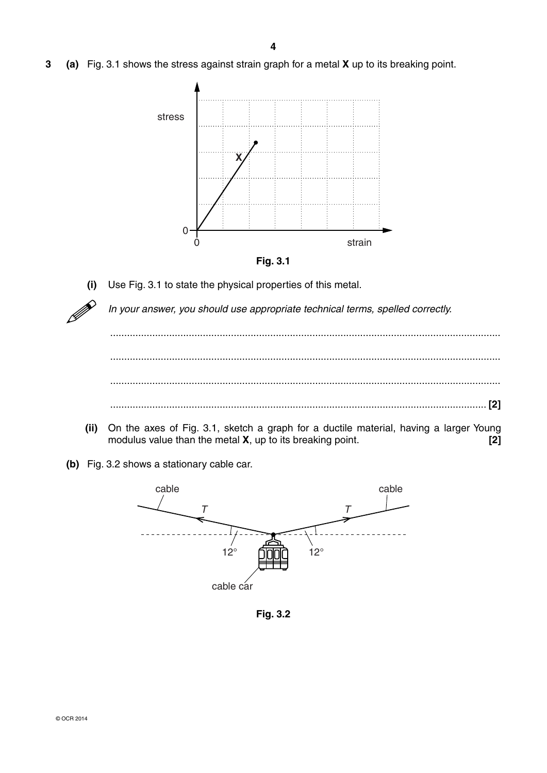**3 (a)** Fig. 3.1 shows the stress against strain graph for a metal **X** up to its breaking point.





**(i)** Use Fig. 3.1 to state the physical properties of this metal.

*In your answer, you should use appropriate technical terms, spelled correctly.*



- **(ii)** On the axes of Fig. 3.1, sketch a graph for a ductile material, having a larger Young modulus value than the metal **X**, up to its breaking point. **[2]**
- **(b)** Fig. 3.2 shows a stationary cable car.



**Fig. 3.2**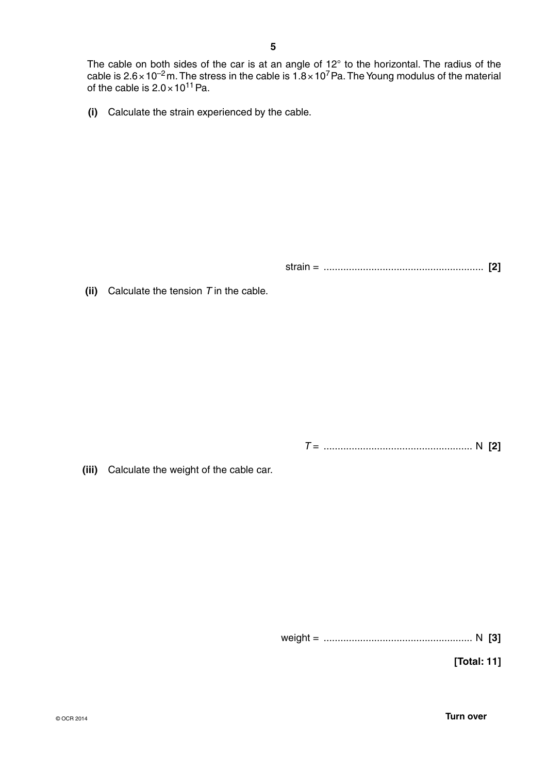The cable on both sides of the car is at an angle of 12° to the horizontal. The radius of the cable is  $2.6 \times 10^{-2}$  m. The stress in the cable is  $1.8 \times 10^{7}$  Pa. The Young modulus of the material of the cable is  $2.0 \times 10^{11}$  Pa.

 **(i)** Calculate the strain experienced by the cable.

strain = ......................................................... **[2]**

 **(ii)** Calculate the tension *T* in the cable.

*T* = ..................................................... N **[2]**

 **(iii)** Calculate the weight of the cable car.

weight = ..................................................... N **[3]**

**[Total: 11]**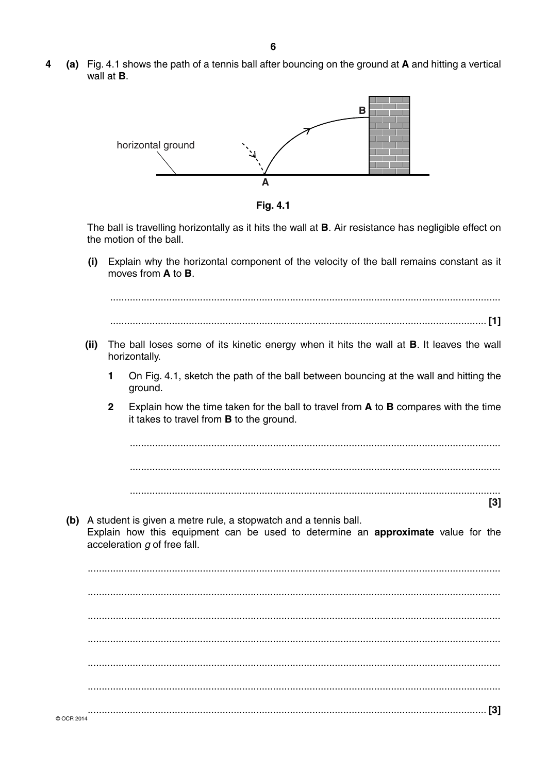$\Delta$ (a) Fig. 4.1 shows the path of a tennis ball after bouncing on the ground at A and hitting a vertical wall at **B**.



Fig. 4.1

The ball is travelling horizontally as it hits the wall at **B**. Air resistance has negligible effect on the motion of the ball.

 $(i)$ Explain why the horizontal component of the velocity of the ball remains constant as it moves from  $A$  to  $B$ .

- (ii) The ball loses some of its kinetic energy when it hits the wall at **B**. It leaves the wall horizontally.
	- On Fig. 4.1, sketch the path of the ball between bouncing at the wall and hitting the 1 ground.
	- $\overline{2}$ Explain how the time taken for the ball to travel from A to B compares with the time it takes to travel from **B** to the ground.

 $[3]$ 

(b) A student is given a metre rule, a stopwatch and a tennis ball. Explain how this equipment can be used to determine an approximate value for the acceleration  $g$  of free fall.

© OCR 2014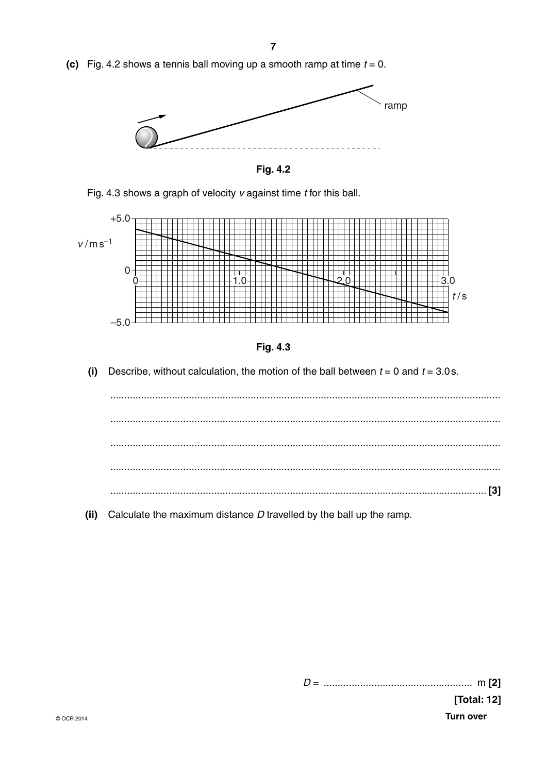(c) Fig. 4.2 shows a tennis ball moving up a smooth ramp at time  $t = 0$ .



Fig. 4.2

Fig. 4.3 shows a graph of velocity v against time t for this ball.



Fig. 4.3

Describe, without calculation, the motion of the ball between  $t = 0$  and  $t = 3.0$  s.  $(i)$ 

(ii) Calculate the maximum distance  $D$  travelled by the ball up the ramp.

[Total: 12] **Turn over**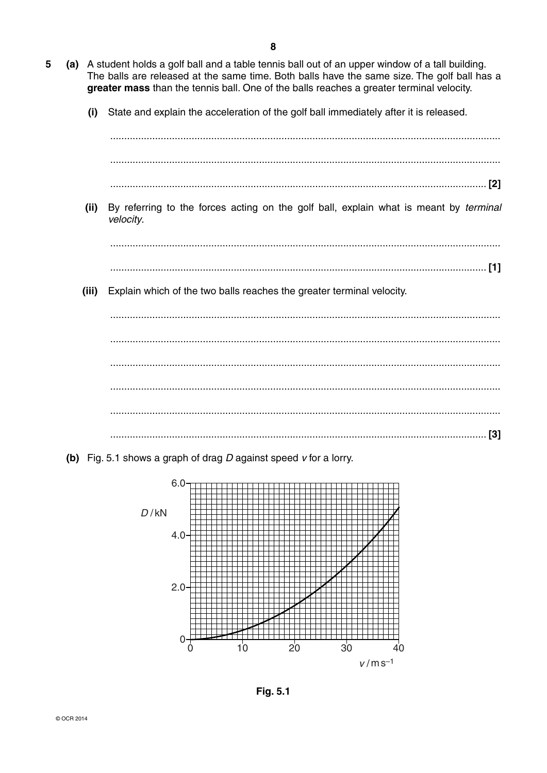- 5 (a) A student holds a golf ball and a table tennis ball out of an upper window of a tall building. The balls are released at the same time. Both balls have the same size. The golf ball has a greater mass than the tennis ball. One of the balls reaches a greater terminal velocity.
	- State and explain the acceleration of the golf ball immediately after it is released.  $(i)$

(ii) By referring to the forces acting on the golf ball, explain what is meant by *terminal* velocity.  $(iii)$ Explain which of the two balls reaches the greater terminal velocity. 

(b) Fig. 5.1 shows a graph of drag  $D$  against speed  $v$  for a lorry.



Fig. 5.1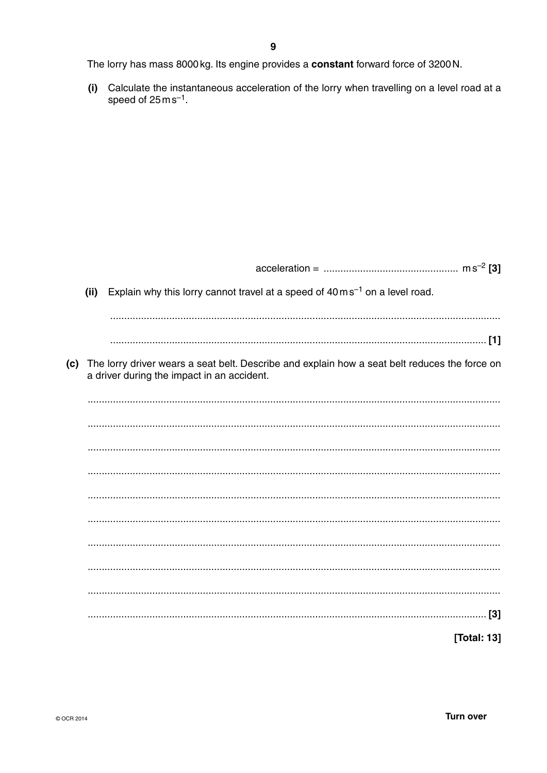The lorry has mass 8000 kg. Its engine provides a constant forward force of 3200 N.

(i) Calculate the instantaneous acceleration of the lorry when travelling on a level road at a speed of  $25 \text{ m s}^{-1}$ .

| Explain why this lorry cannot travel at a speed of $40 \text{ m s}^{-1}$ on a level road.                                                   | (ii) |  |
|---------------------------------------------------------------------------------------------------------------------------------------------|------|--|
|                                                                                                                                             |      |  |
| The lorry driver wears a seat belt. Describe and explain how a seat belt reduces the force on<br>a driver during the impact in an accident. | (c)  |  |
|                                                                                                                                             |      |  |
|                                                                                                                                             |      |  |
|                                                                                                                                             |      |  |
|                                                                                                                                             |      |  |
|                                                                                                                                             |      |  |
|                                                                                                                                             |      |  |
|                                                                                                                                             |      |  |
|                                                                                                                                             |      |  |
|                                                                                                                                             |      |  |
|                                                                                                                                             |      |  |
| [Total: 13]                                                                                                                                 |      |  |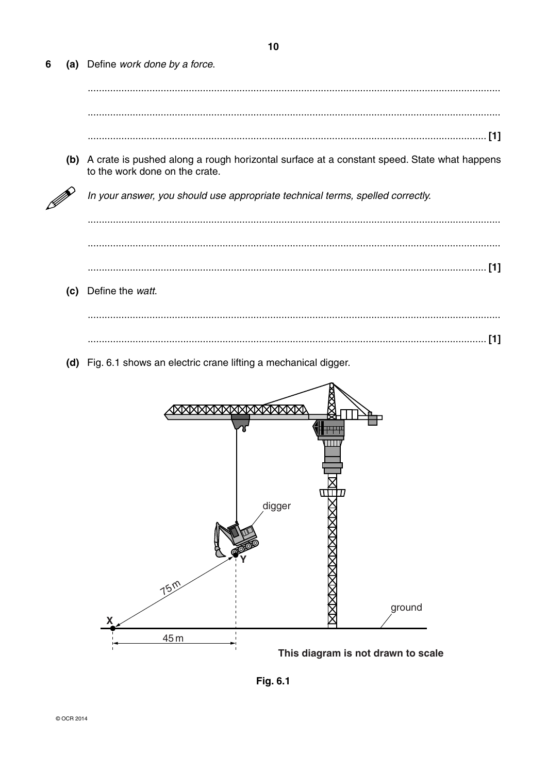| (b) A crate is pushed along a rough horizontal surface at a constant speed. State what happens<br>to the work done on the crate.<br>In your answer, you should use appropriate technical terms, spelled correctly. |
|--------------------------------------------------------------------------------------------------------------------------------------------------------------------------------------------------------------------|
|                                                                                                                                                                                                                    |
|                                                                                                                                                                                                                    |
|                                                                                                                                                                                                                    |
|                                                                                                                                                                                                                    |
|                                                                                                                                                                                                                    |
| $[1]$                                                                                                                                                                                                              |
| Define the watt.<br>(c)                                                                                                                                                                                            |
|                                                                                                                                                                                                                    |
| $[1]$                                                                                                                                                                                                              |
| (d) Fig. 6.1 shows an electric crane lifting a mechanical digger.                                                                                                                                                  |
| <b>XXXXXXXXXXXX</b><br>digger<br><b>15m</b><br>ground                                                                                                                                                              |
| 45m<br>This diagram is not drawn to scale                                                                                                                                                                          |



 $10$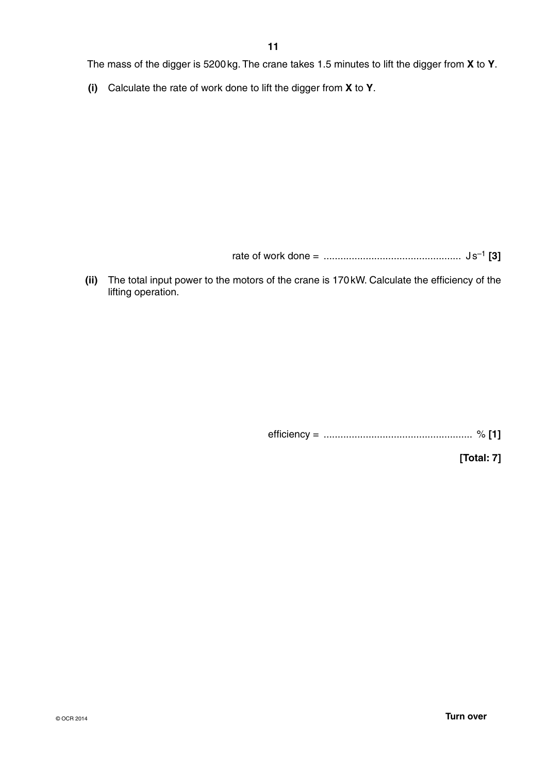The mass of the digger is 5200 kg. The crane takes 1.5 minutes to lift the digger from **X** to **Y**.

 **(i)** Calculate the rate of work done to lift the digger from **X** to **Y**.

rate of work done = ................................................. J s–1 **[3]**

 **(ii)** The total input power to the motors of the crane is 170 kW. Calculate the efficiency of the lifting operation.

efficiency = ..................................................... % **[1]**

**[Total: 7]**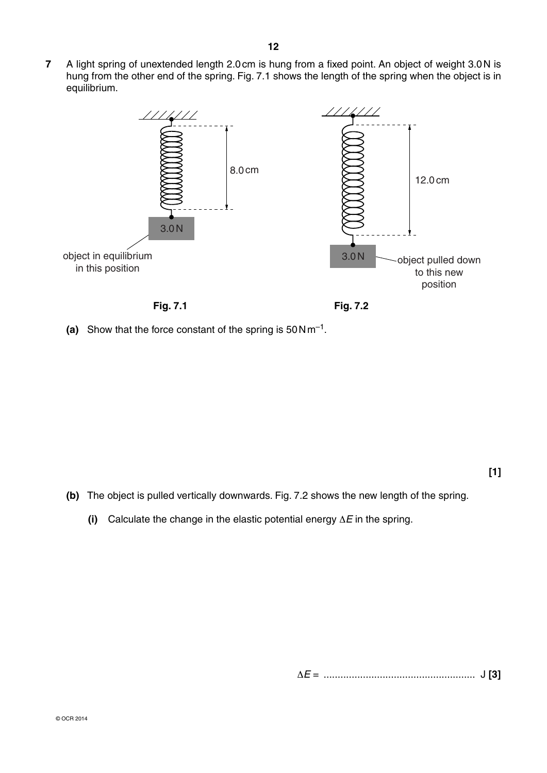

 **(a)** Show that the force constant of the spring is 50 N m–1.

**[1]**

- **(b)** The object is pulled vertically downwards. Fig. 7.2 shows the new length of the spring.
	- **(i)** Calculate the change in the elastic potential energy Δ*E* in the spring.

Δ*E* = ...................................................... J **[3]**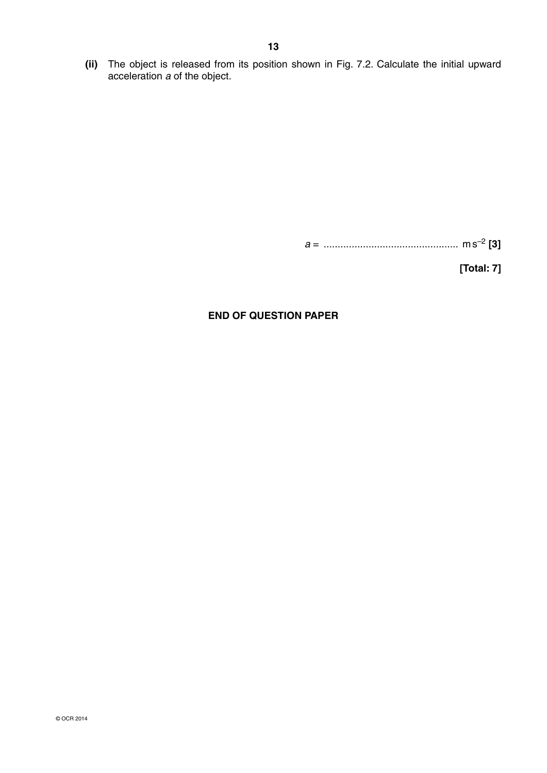**(ii)** The object is released from its position shown in Fig. 7.2. Calculate the initial upward acceleration *a* of the object.

*a* = ................................................ m s–2 **[3]**

**[Total: 7]**

## **END OF QUESTION PAPER**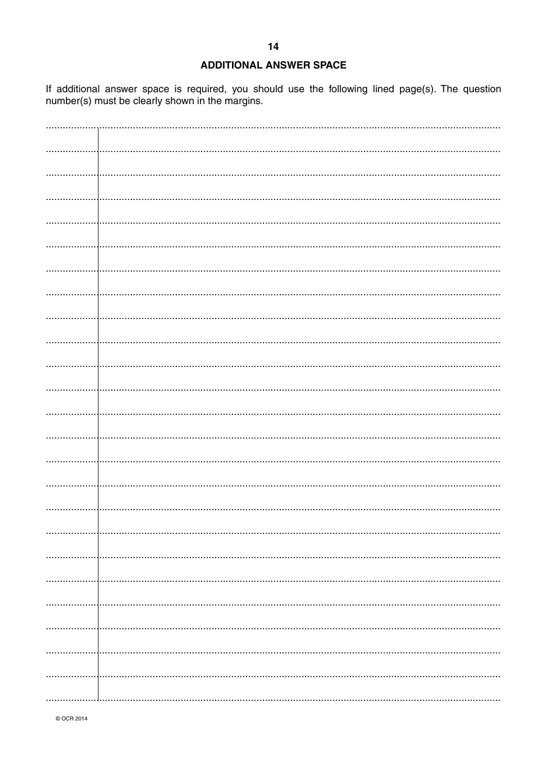#### **ADDITIONAL ANSWER SPACE**

If additional answer space is required, you should use the following lined page(s). The question number(s) must be clearly shown in the margins.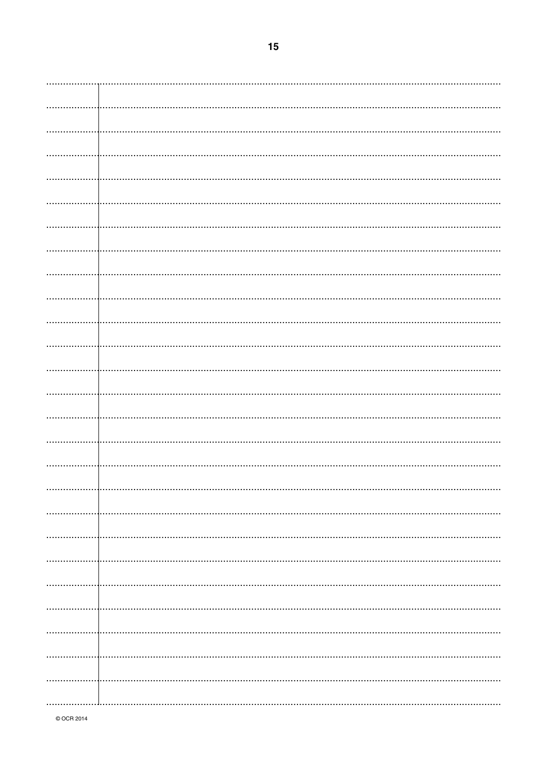$15$ 

| © OCR 2014 |  |
|------------|--|